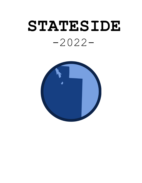# **STATESIDE** -2022-

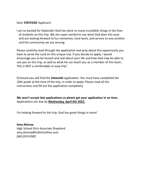Dear **STATESIDE** Applicant,

I am so excited for Stateside! God has done so many incredible things in the lives of students on this trip. We are super excited to see what God does this year, and are looking forward to fun memories, hard work, and service to one another and the community we are serving.

Please carefully read through the application and pray about this opportunity you have to serve the Lord on this unique trip. If you decide to apply, I would encourage you to be honest and real about your life and how God may be able to use you on this trip, as well as what He can teach you as a member of this team. This is NOT a comfortable or easy trip!

Enclosed you will find the *Stateside* application. You must have *completed the 10th grade* at the time of the trip, in order to apply. Please read all the instructions and fill out the application completely.

**We won't accept late applications so please get your application in on time.** Applications are due by **Wednesday, April 6th 2022.**

I'm looking forward to this trip. God has great things in store!

**Amy Atienza** High School Girls Associate Shepherd amy.atienza@fullertonfree.com (661)319-0902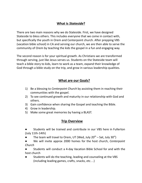## **What is** *Stateside***?**

There are two main reasons why we do Stateside. First, we have designed Stateside to bless others. This includes everyone that we come in contact with, but specifically the youth in Orem and Centerpoint church. After prepping VBS (vacation bible school) in CA and serving our church, we are then able to serve the community of Orem by teaching the kids the gospel in a fun and engaging way.

The second reason is for your spiritual growth. As Christians we are transformed through serving, just like Jesus serves us. Students on the Stateside team will teach a bible story to kids, learn to work as a team, expand their knowledge of God through a bible study on the trip, and grow in various leadership qualities.

### **What are our Goals?**

- 1) Be a blessing to *Centerpoint Church* by assisting them in reaching their communities with the gospel.
- 2) To see continued growth and maturity in our relationship with God and others.
- 3) Gain confidence when sharing the Gospel and teaching the Bible.
- 4) Grow in leadership.
- 5) Make some great memories by having a BLAST.

### **Trip Overview**

- Students will be trained and contribute in our VBS here in Fullerton (July 11th-14th)
- The team will travel to Orem, UT (Wed, July  $20^{th}$  Sat, July  $30^{st}$ )
- We will invite approx 2000 homes for the host church, *Centerpoint Church*
- Students will conduct a 4-day Vacation Bible School for and with the host church
- Students will do the teaching, leading and counseling at the VBS (including leading games, crafts, snacks, etc…)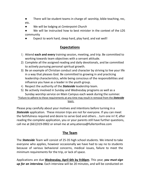There will be student teams in charge of: worship, bible teaching, rec, etc.

- We will be lodging at *Centerpoint Church*
- We will be instructed how to best minister in the context of the LDS community
- Expect to work hard, sleep hard, play hard, and eat well!

# **Expectations**

- 1) Attend **each and every** training session, meeting, and trip. Be committed to working towards team objectives with a servant attitude.
- 2) Complete all the assigned reading and daily devotionals, and be committed to actively pursuing personal spiritual growth.
- 3) Be an example of Christian conduct and character by striving to live your life in a way that pleases God. Be committed to growing in and practicing leadership characteristics, while being conscious of the responsibilities and influence you have as a leader in the youth group.
- 4) Respect the authority of the *Stateside* leadership team.
- 5) Be actively involved in Sunday and Wednesday programs as well as a Sunday worship service on Main Campus each week during the summer.

\*Failure to adhere to these requirements at any time may result in removal from the *Stateside* team.

Please pray carefully about your motives and intentions before turning in a *Stateside* application. These mission trips are not for everyone. If you can meet the faithfulness required and desire to serve God and others…turn one in! If, after reading the complete application, you or your parents still have further questions, call me at (661)319-0902 or email me at amy.atienza@fullertonfree.com

### **The Team**

The *Stateside* Team will consist of 25-35 high school students. We intend to take everyone who applies, however occasionally we have had to say no to students because of various behavioral concerns, medical issues, failure to meet the minimum requirements for the trip, or lack of space.

Applications are due **Wednesday, April 6th by 9:00pm**. This year, *you must sign up for an interview.* Each interview will be 20 minutes, and will be conducted on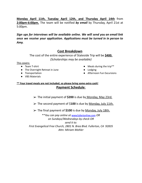**Monday April 11th, Tuesday April 12th, and Thursday April 14th** from **2:00pm-6:00pm.** The team will be notified *by email* by Thursday, April 21st at 5:00pm.

*Sign ups for interviews will be available online. We will send you an email link once we receive your application. Applications must be turned in in person to Amy.*

#### **Cost Breakdown**

The cost of the entire experience of Stateside Trip will be **\$400.** *(Scholarships may be available)*

#### This covers:

- Team T-shirt
- The Overnight Retreat in June
- Transportation
- VBS Materials
- $\bullet$  Meals during the trip\*\*
- Lodging
- Afternoon Fun Excursions

#### **\*\* Four travel meals are not included, so please bring some extra cash! Payment Schedule**:

- ➢ The initial payment of **\$200** is due by Monday, May 23rd.
- ➢ The second payment of \$**100** is due by Monday, July 11th.
- ➢ The final payment of **\$100** is due by Monday, July 18th.

\*\**You can pay online at* [www.fullertonfree.com](http://www.evfreefullerton.com/) *OR on Sundays/Wednesdays by check OR send it to: First Evangelical Free Church, 2801 N. Brea Blvd. Fullerton, CA 92835 Attn: Miriam Mohler*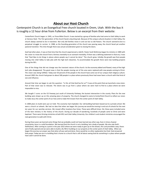#### **About our Host Church**

#### Centerpoint Church is an Evangelical Free church located in Orem, Utah. With the bus it is roughly a 12 hour drive from Fullerton. Below is an excerpt from their website:

CenterPoint Church began in 1945, as Provo Bible Church. It was started by a group of families who had come to Utah Valley to work at Geneva Steel. The first generation of the church faced a daunting task. Because of the unique cultural situation in Utah Valley, the church always seemed to be in transition. Not only did families move in and out but so did Pastors. The church seemed to be in a perpetual struggle to survive. In 1988, as the founding generation of the church was passing away, the church faced yet another pastoral transition. This time though there was actual consideration given to closing the doors.

God had other plans. It was at that time that the church experienced a rebirth. Pastor Scott McKinney began his ministry in 1989 with the vision to move the church from a fortress mentality to an outreach mentality. If there was a defining statement in that era, it was that "God likes to do things in places where people say it cannot be done." The church grew. Initially, the growth was from people moving into Utah Valley to take jobs with the high tech industries. To accommodate the growth there were two building projects during the 90's.

One of the things that did not change was the transient nature of the church. As the economy ebbed and flowed, many of the high tech jobs disappeared. The good news is that the people moving out of the area were replaced with new people coming to Christ. The vision was being fulfilled. Today over 50 percent of the people in the church have come out of our unique Utah religious culture. Around 2005 the church had grown to about 500 people in a place where previously there had never been a church with that kind of size and influence.

Around that time we began to ask the question- "Is this all that God has for us?" It was at this point that we launched a new vision. Part of that vision was to relocate. The desire was to go from a place where we were hard to find to a place where we were impossible to miss.

We bought 5 acres on the I15 freeway just south of University Parkway, the busiest intersection in the county. Plans for the new building were drawn up on this amazing piece of property. The church changed its name to CenterPoint Church to reflect our vision to make Jesus the center point of our lives and to make Him known from the center point of Utah Valley.

In 2008 plans to build were put on hold. The economy had imploded. Our old building had been leased out to a private school. We were a church on wheels. We had no idea that when we began this journey we would be moving in and out of schools for the next ten years for our worship services. We moved office locations four times. These were difficult times. Yet, these years included some of the best ministry in the history of the church. During our decade of wandering, hundreds of people came to Christ and were baptized. There were thriving ministries at both BYU and Utah Valley University. Our children's and student ministries encouraged the next generation to walk with Christ.

During these years we learned some things that we probably could not have learned any other way. Even in times of great uncertainty, Jesus is a solid foundation. We learned that the church is not a building, but a body of people. We also saw God's faithfulness. After coming to a point in the year 2015 where we were ready to give up on the dream, the Lord provided a way. Doors were finally opened and we were able to build a 26,700 sf. building on our property at the center point of Utah Valley. When we began this journey our prayer was that when all was said and done, there would be no other explanation but God. God answered that prayer. Today we are in a building that is home to a church that is still all about seeing God do something in a place where people have said it cannot be done.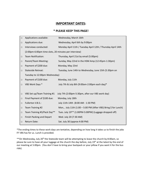#### **IMPORTANT DATES:**

#### **\* PLEASE KEEP THIS PAGE!**

| $\Box$ | Applications available:                              | Wednesday, March 16th                                           |  |  |  |
|--------|------------------------------------------------------|-----------------------------------------------------------------|--|--|--|
| $\Box$ | Applications due:                                    | Wednesday, April 6th by 9:00pm                                  |  |  |  |
| $\Box$ | Interviews conducted:                                | Monday April 11th / Tuesday April 12th / Thursday April 14th    |  |  |  |
|        | (2:00pm-6:00pm time slots, 20 minutes per interview) |                                                                 |  |  |  |
| $\Box$ | Team Notification:                                   | Thursday, April 21st by email (5:00pm)                          |  |  |  |
| $\Box$ | Parent/Team Meeting:                                 | Sunday, May 22nd in the HSM Amp (12:45pm-1:30pm)                |  |  |  |
| $\Box$ | Payment of \$200 due:                                | Monday, May 23rd                                                |  |  |  |
| $\Box$ | <b>Stateside Retreat:</b>                            | Tuesday, June 14th to Wednesday, June 15th (5:30pm on           |  |  |  |
|        | Tuesday to 12:00pm Wednesday)                        |                                                                 |  |  |  |
| $\Box$ | Payment of \$100 due:                                | Monday, July 11th                                               |  |  |  |
| $\Box$ | VBS Work Days *                                      | July 7th & July 8th (9:00am-2:00pm each day)*                   |  |  |  |
|        |                                                      |                                                                 |  |  |  |
| $\Box$ | VBS Set up/Team Training #1                          | July 7th (2:00pm-5:30pm, after our VBS work day)                |  |  |  |
| $\Box$ | Final Payment of \$100 due:                          | Monday, July 18th                                               |  |  |  |
| $\Box$ | Fullerton V.B.S.:                                    | July 11th-14th (8:00 AM - 1:30 PM)                              |  |  |  |
| $\Box$ | Team Training #2                                     | Mon., July 11th (1:00 - 5:00 PM (After VBS) Bring \$ for Lunch) |  |  |  |
| □      | Team Training #3/Pack Day**                          | Tues. July 19** (1:00PM-5:00PM) (Luggage dropped off)           |  |  |  |
| □      | <b>Finish Packing and Depart</b>                     | Wed. July 20 (7:30 AM)                                          |  |  |  |
| $\Box$ | Return Date:                                         | Sat. July 30 (approx 4:00 PM)                                   |  |  |  |

\*The ending times to these work days are tentative, depending on how long it takes us to finish the jobs FF VBS has for us. Lunch is provided.

\*\* On Wednesday, July 20<sup>th</sup> the Stateside team will be attempting to leave the church by 8:00am, so please be sure to have all your luggage at the church the day before, July 19<sup>th</sup> at the latest by the end of our meeting at 5:00pm. (You don't have to bring your backpack or your pillow if you want it for the bus ride).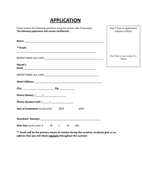# **APPLICATION**

| Please answer the following questions using the reverse side if necessary.<br>The following application will remain confidential. | Don't Turn in Application<br>without a Photo! |
|-----------------------------------------------------------------------------------------------------------------------------------|-----------------------------------------------|
|                                                                                                                                   |                                               |
| **Email:                                                                                                                          |                                               |
|                                                                                                                                   | Feel free to use a copy of a<br>Photo         |
| Parent's                                                                                                                          |                                               |
|                                                                                                                                   |                                               |
|                                                                                                                                   |                                               |
|                                                                                                                                   |                                               |
|                                                                                                                                   |                                               |
| Phone (Student Cell): (_____) ___________________                                                                                 |                                               |
| Year of Graduation (circle one):<br>2023<br>2024                                                                                  |                                               |
|                                                                                                                                   |                                               |
| <b>Shirt Size</b> (circle one): S M<br>$\mathsf{L}$<br><b>XL</b><br><b>XXL</b>                                                    |                                               |

**\*\* Email will be the primary means of contact during the summer, so please give us an address that you will check regularly throughout the summer.**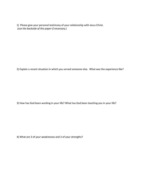1) Please give your personal testimony of your relationship with Jesus Christ. *(use the backside of this paper if necessary.)*

2) Explain a recent situation in which you served someone else. What was the experience like?

3) How has God been working in your life? What has God been teaching you in your life?

4) What are 3 of your weaknesses and 3 of your strengths?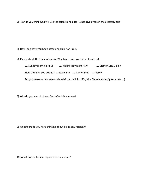5) How do you think God will use the talents and gifts He has given you on the *Stateside* trip?

6) How long have you been attending Fullerton Free?

7) Please check High School and/or Worship service you faithfully attend:

| $\triangle$ Sunday morning HSM                                                          |  | <b>Wednesday night HSM</b> | → 9:19 or 11:11 main |  |  |  |
|-----------------------------------------------------------------------------------------|--|----------------------------|----------------------|--|--|--|
| How often do you attend? $\triangle$ Regularly $\triangle$ Sometimes $\triangle$ Rarely |  |                            |                      |  |  |  |
| Do you serve somewhere at church? (i.e. tech in HSM, Kids Church, usher/greeter, etc)   |  |                            |                      |  |  |  |

8) Why do you want to be on *Stateside* this summer?

9) What fears do you have thinking about being on *Stateside*?

10) What do you believe is your role on a team?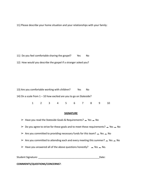11) Please describe your home situation and your relationships with your family:

11) Do you feel comfortable sharing the gospel? Yes No 12) How would you describe the gospel if a stranger asked you?

13) Are you comfortable working with children? Yes No 14) On a scale from 1 – 10 how excited are you to go on Stateside? 1 2 3 4 5 6 7 8 9 10

#### **SIGNATURE**

 $\triangleright$  Have you read the Stateside Goals & Requirements?  $\triangleright$  Yes  $\triangleright$  No

 $\geq 0$  Do you agree to strive for these goals and to meet these requirements?  $\leq$  Yes  $\leq$  No

 $\triangleright$  Are you committed to providing necessary funds for this team?  $\blacktriangle$  Yes  $\blacktriangle$  No

 $\triangleright$  Are you committed to attending each and every meeting this summer?  $\blacktriangle$  Yes  $\blacktriangle$  No

 $\triangleright$  Have you answered all of the above questions honestly?  $\triangleright$  Yes  $\preceq$  No.

Student Signature: \_\_\_\_\_\_\_\_\_\_\_\_\_\_\_\_\_\_\_\_\_\_\_\_\_\_\_\_\_\_\_\_\_\_\_\_\_\_\_\_\_\_\_\_Date:

**COMMENTS/QUESTIONS/CONCERNS?**: